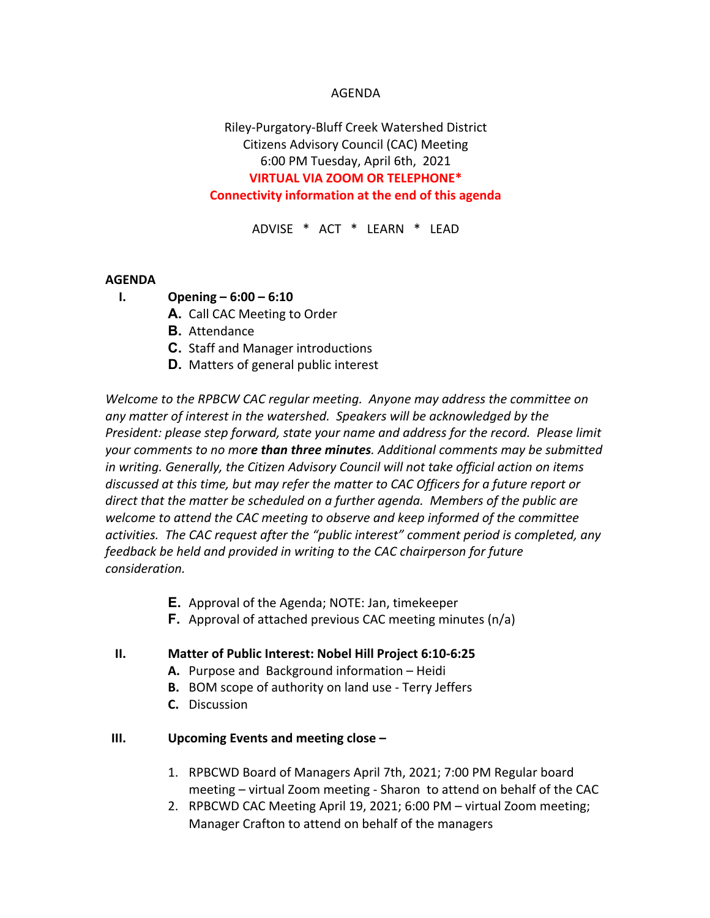## AGENDA

# Riley-Purgatory-Bluff Creek Watershed District Citizens Advisory Council (CAC) Meeting 6:00 PM Tuesday, April 6th, 2021 **VIRTUAL VIA ZOOM OR TELEPHONE\* Connectivity information at the end of this agenda**

ADVISE \* ACT \* LEARN \* LEAD

### **AGENDA**

- **I. Opening – 6:00 – 6:10**
	- **A.** Call CAC Meeting to Order
	- **B.** Attendance
	- **C.** Staff and Manager introductions
	- **D.** Matters of general public interest

*Welcome to the RPBCW CAC regular meeting. Anyone may address the committee on any matter of interest in the watershed. Speakers will be acknowledged by the President: please step forward, state your name and address for the record. Please limit your comments to no more than three minutes. Additional comments may be submitted in writing. Generally, the Citizen Advisory Council will not take official action on items discussed at this time, but may refer the matter to CAC Officers for a future report or direct that the matter be scheduled on a further agenda. Members of the public are welcome to attend the CAC meeting to observe and keep informed of the committee activities. The CAC request after the "public interest" comment period is completed, any feedback be held and provided in writing to the CAC chairperson for future consideration.*

- **E.** Approval of the Agenda; NOTE: Jan, timekeeper
- **F.** Approval of attached previous CAC meeting minutes (n/a)

#### **II. Matter of Public Interest: Nobel Hill Project 6:10-6:25**

- **A.** Purpose and Background information Heidi
- **B.** BOM scope of authority on land use Terry Jeffers
- **C.** Discussion

## **III. Upcoming Events and meeting close –**

- 1. RPBCWD Board of Managers April 7th, 2021; 7:00 PM Regular board meeting – virtual Zoom meeting - Sharon to attend on behalf of the CAC
- 2. RPBCWD CAC Meeting April 19, 2021; 6:00 PM virtual Zoom meeting; Manager Crafton to attend on behalf of the managers